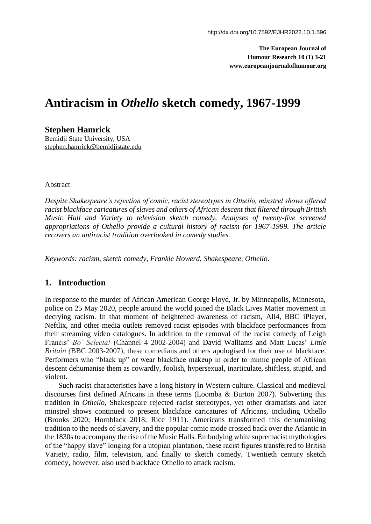**The European Journal of Humour Research 10 (1) 3-21 www.europeanjournalofhumour.org**

# **Antiracism in** *Othello* **sketch comedy, 1967-1999**

**Stephen Hamrick**

Bemidji State University, USA stephen.hamrick@bemidjistate.edu

#### Abstract

*Despite Shakespeare's rejection of comic, racist stereotypes in Othello, minstrel shows offered racist blackface caricatures of slaves and others of African descent that filtered through British Music Hall and Variety to television sketch comedy. Analyses of twenty-five screened appropriations of Othello provide a cultural history of racism for 1967-1999. The article recovers an antiracist tradition overlooked in comedy studies.* 

*Keywords: racism, sketch comedy, Frankie Howerd, Shakespeare, Othello*.

### **1. Introduction**

In response to the murder of African American George Floyd, Jr. by Minneapolis, Minnesota, police on 25 May 2020, people around the world joined the Black Lives Matter movement in decrying racism. In that moment of heightened awareness of racism, All4, BBC iPlayer, Neftlix, and other media outlets removed racist episodes with blackface performances from their streaming video catalogues. In addition to the removal of the racist comedy of Leigh Francis' *Bo' Selecta!* (Channel 4 2002-2004) and David Walliams and Matt Lucas' *Little Britain (*BBC 2003-2007), these comedians and others apologised for their use of blackface. Performers who "black up" or wear blackface makeup in order to mimic people of African descent dehumanise them as cowardly, foolish, hypersexual, inarticulate, shiftless, stupid, and violent.

Such racist characteristics have a long history in Western culture. Classical and medieval discourses first defined Africans in these terms (Loomba & Burton 2007). Subverting this tradition in *Othello*, Shakespeare rejected racist stereotypes, yet other dramatists and later minstrel shows continued to present blackface caricatures of Africans, including Othello (Brooks 2020; Hornblack 2018; Rice 1911). Americans transformed this dehumanising tradition to the needs of slavery, and the popular comic mode crossed back over the Atlantic in the 1830s to accompany the rise of the Music Halls. Embodying white supremacist mythologies of the "happy slave" longing for a utopian plantation, these racist figures transferred to British Variety, radio, film, television, and finally to sketch comedy. Twentieth century sketch comedy, however, also used blackface Othello to attack racism*.*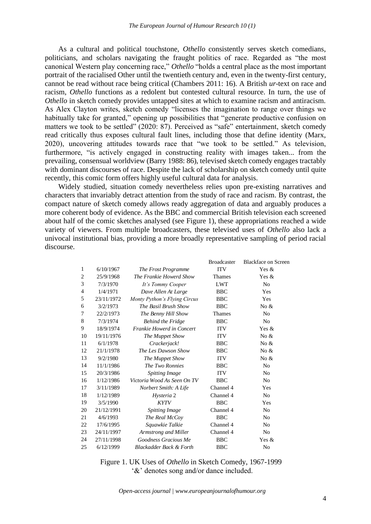As a cultural and political touchstone, *Othello* consistently serves sketch comedians, politicians, and scholars navigating the fraught politics of race. Regarded as "the most canonical Western play concerning race," *Othello* "holds a central place as the most important portrait of the racialised Other until the twentieth century and, even in the twenty-first century, cannot be read without race being critical (Chambers 2011: 16). A British *ur*-text on race and racism, *Othello* functions as a redolent but contested cultural resource. In turn, the use of *Othello* in sketch comedy provides untapped sites at which to examine racism and antiracism. As Alex Clayton writes, sketch comedy "licenses the imagination to range over things we habitually take for granted," opening up possibilities that "generate productive confusion on matters we took to be settled" (2020: 87). Perceived as "safe" entertainment, sketch comedy read critically thus exposes cultural fault lines, including those that define identity (Marx, 2020), uncovering attitudes towards race that "we took to be settled." As television, furthermore, "is actively engaged in constructing reality with images taken... from the prevailing, consensual worldview (Barry 1988: 86), televised sketch comedy engages tractably with dominant discourses of race. Despite the lack of scholarship on sketch comedy until quite recently, this comic form offers highly useful cultural data for analysis.

Widely studied, situation comedy nevertheless relies upon pre-existing narratives and characters that invariably detract attention from the study of race and racism. By contrast, the compact nature of sketch comedy allows ready aggregation of data and arguably produces a more coherent body of evidence. As the BBC and commercial British television each screened about half of the comic sketches analysed (see Figure 1), these appropriations reached a wide variety of viewers. From multiple broadcasters, these televised uses of *Othello* also lack a univocal institutional bias, providing a more broadly representative sampling of period racial discourse.

|              |            |                                    | <b>Broadcaster</b> | <b>Blackface on Screen</b> |
|--------------|------------|------------------------------------|--------------------|----------------------------|
| $\mathbf{1}$ | 6/10/1967  | The Frost Programme                | <b>ITV</b>         | Yes $\&$                   |
| 2            | 25/9/1968  | The Frankie Howerd Show            | <b>Thames</b>      | Yes $\&$                   |
| 3            | 7/3/1970   | It's Tommy Cooper                  | <b>LWT</b>         | N <sub>0</sub>             |
| 4            | 1/4/1971   | Dave Allen At Large                | <b>BBC</b>         | Yes                        |
| 5            | 23/11/1972 | Monty Python's Flying Circus       | <b>BBC</b>         | Yes                        |
| 6            | 3/2/1973   | The Basil Brush Show               | <b>BBC</b>         | No $\&$                    |
| 7            | 22/2/1973  | The Benny Hill Show                | <b>Thames</b>      | N <sub>0</sub>             |
| 8            | 7/3/1974   | <b>Behind the Fridge</b>           | <b>BBC</b>         | N <sub>o</sub>             |
| 9            | 18/9/1974  | Frankie Howerd in Concert          | <b>ITV</b>         | Yes $\&$                   |
| 10           | 19/11/1976 | The Muppet Show                    | <b>ITV</b>         | No $\&$                    |
| 11           | 6/1/1978   | Crackerjack!                       | <b>BBC</b>         | No $\&$                    |
| 12           | 21/1/1978  | The Les Dawson Show                | <b>BBC</b>         | No $\&$                    |
| 13           | 9/2/1980   | The Muppet Show                    | <b>ITV</b>         | No $&$                     |
| 14           | 11/1/1986  | The Two Ronnies                    | <b>BBC</b>         | N <sub>0</sub>             |
| 15           | 20/3/1986  | <b>Spitting Image</b>              | <b>ITV</b>         | N <sub>0</sub>             |
| 16           | 1/12/1986  | Victoria Wood As Seen On TV        | <b>BBC</b>         | N <sub>0</sub>             |
| 17           | 3/11/1989  | Norbert Smith: A Life              | Channel 4          | Yes                        |
| 18           | 1/12/1989  | Hysteria 2                         | Channel 4          | N <sub>0</sub>             |
| 19           | 3/5/1990   | <b>KYTV</b>                        | <b>BBC</b>         | Yes                        |
| 20           | 21/12/1991 | <b>Spitting Image</b>              | Channel 4          | N <sub>0</sub>             |
| 21           | 4/6/1993   | The Real McCoy                     | <b>BBC</b>         | N <sub>0</sub>             |
| 22           | 17/6/1995  | Squawkie Talkie                    | Channel 4          | N <sub>0</sub>             |
| 23           | 24/11/1997 | Armstrong and Miller               | Channel 4          | N <sub>0</sub>             |
| 24           | 27/11/1998 | Goodness Gracious Me               | <b>BBC</b>         | Yes &                      |
| 25           | 6/12/1999  | <b>Blackadder Back &amp; Forth</b> | <b>BBC</b>         | N <sub>o</sub>             |

Figure 1. UK Uses of *Othello* in Sketch Comedy, 1967-1999 '&' denotes song and/or dance included.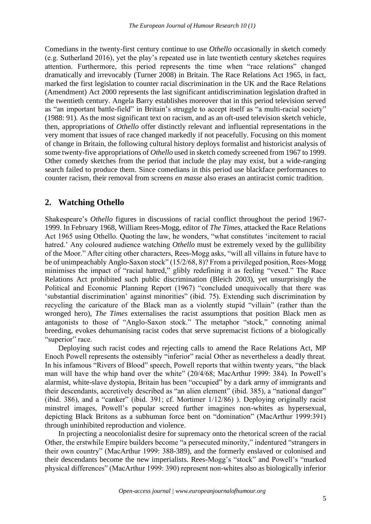Comedians in the twenty-first century continue to use *Othello* occasionally in sketch comedy (e.g. Sutherland 2016), yet the play's repeated use in late twentieth century sketches requires attention. Furthermore, this period represents the time when "race relations" changed dramatically and irrevocably (Turner 2008) in Britain. The Race Relations Act 1965, in fact, marked the first legislation to counter racial discrimination in the UK and the Race Relations (Amendment) Act 2000 represents the last significant antidiscrimination legislation drafted in the twentieth century. Angela Barry establishes moreover that in this period television served as "an important battle-field" in Britain's struggle to accept itself as "a multi-racial society" (1988: 91). As the most significant text on racism, and as an oft-used television sketch vehicle, then, appropriations of *Othello* offer distinctly relevant and influential representations in the very moment that issues of race changed markedly if not peacefully. Focusing on this moment of change in Britain, the following cultural history deploys formalist and historicist analysis of some twenty-five appropriations of *Othello* used in sketch comedy screened from 1967 to 1999. Other comedy sketches from the period that include the play may exist, but a wide-ranging search failed to produce them. Since comedians in this period use blackface performances to counter racism, their removal from screens *en masse* also erases an antiracist comic tradition.

## **2. Watching Othello**

Shakespeare's *Othello* figures in discussions of racial conflict throughout the period 1967- 1999. In February 1968, William Rees-Mogg, editor of *The Times*, attacked the Race Relations Act 1965 using Othello. Quoting the law, he wonders, "what constitutes 'incitement to racial hatred.' Any coloured audience watching *Othello* must be extremely vexed by the gullibility of the Moor." After citing other characters, Rees-Mogg asks, "will all villains in future have to be of unimpeachably Anglo-Saxon stock" (15/2/68, 8)? From a privileged position, Rees-Mogg minimises the impact of "racial hatred," glibly redefining it as feeling "vexed." The Race Relations Act prohibited such public discrimination (Bleich 2003), yet unsurprisingly the Political and Economic Planning Report (1967) "concluded unequivocally that there was 'substantial discrimination' against minorities" (ibid. 75). Extending such discrimination by recycling the caricature of the Black man as a violently stupid "villain" (rather than the wronged hero), *The Times* externalises the racist assumptions that position Black men as antagonists to those of "Anglo-Saxon stock." The metaphor "stock," connoting animal breeding, evokes dehumanising racist codes that serve supremacist fictions of a biologically "superior" race.

Deploying such racist codes and rejecting calls to amend the Race Relations Act, MP Enoch Powell represents the ostensibly "inferior" racial Other as nevertheless a deadly threat. In his infamous "Rivers of Blood" speech, Powell reports that within twenty years, "the black man will have the whip hand over the white" (20/4/68; MacArthur 1999: 384). In Powell's alarmist, white-slave dystopia, Britain has been "occupied" by a dark army of immigrants and their descendants, accretively described as "an alien element" (ibid. 385), a "national danger" (ibid. 386), and a "canker" (ibid. 391; cf. Mortimer 1/12/86) ). Deploying originally racist minstrel images, Powell's popular screed further imagines non-whites as hypersexual, depicting Black Britons as a subhuman force bent on "domination" (MacArthur 1999:391) through uninhibited reproduction and violence.

In projecting a neocolonialist desire for supremacy onto the rhetorical screen of the racial Other, the erstwhile Empire builders become "a persecuted minority," indentured "strangers in their own country" (MacArthur 1999: 388-389), and the formerly enslaved or colonised and their descendants become the new imperialists. Rees-Mogg's "stock" and Powell's "marked physical differences" (MacArthur 1999: 390) represent non-whites also as biologically inferior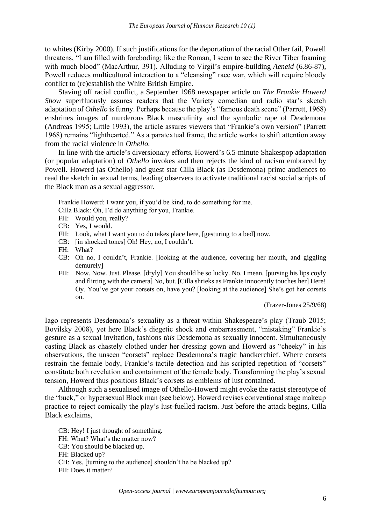to whites (Kirby 2000). If such justifications for the deportation of the racial Other fail, Powell threatens, "I am filled with foreboding; like the Roman, I seem to see the River Tiber foaming with much blood" (MacArthur, 391). Alluding to Virgil's empire-building *Aeneid* (6.86-87), Powell reduces multicultural interaction to a "cleansing" race war, which will require bloody conflict to (re)establish the White British Empire.

Staving off racial conflict, a September 1968 newspaper article on *The Frankie Howerd Show* superfluously assures readers that the Variety comedian and radio star's sketch adaptation of *Othello* is funny. Perhaps because the play's "famous death scene" (Parrett, 1968) enshrines images of murderous Black masculinity and the symbolic rape of Desdemona (Andreas 1995; Little 1993), the article assures viewers that "Frankie's own version" (Parrett 1968) remains "lighthearted." As a paratextual frame, the article works to shift attention away from the racial violence in *Othello*.

In line with the article's diversionary efforts, Howerd's 6.5-minute Shakespop adaptation (or popular adaptation) of *Othello* invokes and then rejects the kind of racism embraced by Powell. Howerd (as Othello) and guest star Cilla Black (as Desdemona) prime audiences to read the sketch in sexual terms, leading observers to activate traditional racist social scripts of the Black man as a sexual aggressor.

Frankie Howerd: I want you, if you'd be kind, to do something for me.

Cilla Black: Oh, I'd do anything for you, Frankie.

- FH: Would you, really?
- CB: Yes, I would.
- FH: Look, what I want you to do takes place here, [gesturing to a bed] now.
- CB: [in shocked tones] Oh! Hey, no, I couldn't.
- FH: What?
- CB: Oh no, I couldn't, Frankie. [looking at the audience, covering her mouth, and giggling demurely]
- FH: Now. Now. Just. Please. [dryly] You should be so lucky. No, I mean. [pursing his lips coyly and flirting with the camera] No, but. [Cilla shrieks as Frankie innocently touches her] Here! Oy. You've got your corsets on, have you? [looking at the audience] She's got her corsets on.

(Frazer-Jones 25/9/68)

Iago represents Desdemona's sexuality as a threat within Shakespeare's play (Traub 2015; Bovilsky 2008), yet here Black's diegetic shock and embarrassment, "mistaking" Frankie's gesture as a sexual invitation, fashions *this* Desdemona as sexually innocent. Simultaneously casting Black as chastely clothed under her dressing gown and Howerd as "cheeky" in his observations, the unseen "corsets" replace Desdemona's tragic handkerchief. Where corsets restrain the female body, Frankie's tactile detection and his scripted repetition of "corsets" constitute both revelation and containment of the female body. Transforming the play's sexual tension, Howerd thus positions Black's corsets as emblems of lust contained.

Although such a sexualised image of Othello-Howerd might evoke the racist stereotype of the "buck," or hypersexual Black man (see below), Howerd revises conventional stage makeup practice to reject comically the play's lust-fuelled racism. Just before the attack begins, Cilla Black exclaims,

CB: Hey! I just thought of something. FH: What? What's the matter now? CB: You should be blacked up. FH: Blacked up?

- CB: Yes, [turning to the audience] shouldn't he be blacked up?
- FH: Does it matter?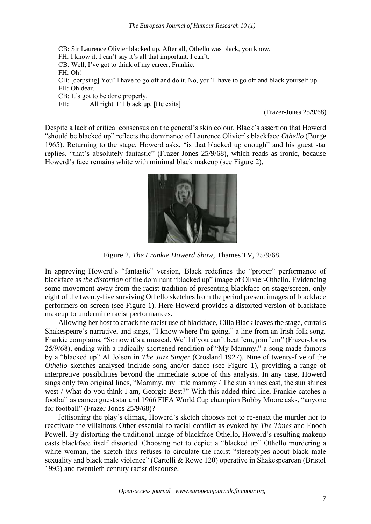CB: Sir Laurence Olivier blacked up. After all, Othello was black, you know. FH: I know it. I can't say it's all that important. I can't. CB: Well, I've got to think of my career, Frankie.

FH: Oh!

CB: [corpsing] You'll have to go off and do it. No, you'll have to go off and black yourself up.

FH: Oh dear.

CB: It's got to be done properly.

FH: All right. I'll black up. [He exits]

(Frazer-Jones 25/9/68)

Despite a lack of critical consensus on the general's skin colour, Black's assertion that Howerd "should be blacked up" reflects the dominance of Laurence Olivier's blackface *Othello* (Burge 1965). Returning to the stage, Howerd asks, "is that blacked up enough" and his guest star replies, "that's absolutely fantastic" (Frazer-Jones 25/9/68), which reads as ironic, because Howerd's face remains white with minimal black makeup (see Figure 2).



Figure 2. *The Frankie Howerd Show*, Thames TV, 25/9/68.

In approving Howerd's "fantastic" version, Black redefines the "proper" performance of blackface as *the distortion* of the dominant "blacked up" image of Olivier-Othello. Evidencing some movement away from the racist tradition of presenting blackface on stage/screen, only eight of the twenty-five surviving Othello sketches from the period present images of blackface performers on screen (see Figure 1). Here Howerd provides a distorted version of blackface makeup to undermine racist performances.

Allowing her host to attack the racist use of blackface, Cilla Black leaves the stage, curtails Shakespeare's narrative, and sings, "I know where I'm going," a line from an Irish folk song. Frankie complains, "So now it's a musical. We'll if you can't beat 'em, join 'em" (Frazer-Jones 25/9/68), ending with a radically shortened rendition of "My Mammy," a song made famous by a "blacked up" Al Jolson in *The Jazz Singer* (Crosland 1927). Nine of twenty-five of the *Othello* sketches analysed include song and/or dance (see Figure 1), providing a range of interpretive possibilities beyond the immediate scope of this analysis. In any case, Howerd sings only two original lines, "Mammy, my little mammy / The sun shines east, the sun shines west / What do you think I am, Georgie Best?" With this added third line, Frankie catches a football as cameo guest star and 1966 FIFA World Cup champion Bobby Moore asks, "anyone for football" (Frazer-Jones 25/9/68)?

Jettisoning the play's climax, Howerd's sketch chooses not to re-enact the murder nor to reactivate the villainous Other essential to racial conflict as evoked by *The Times* and Enoch Powell. By distorting the traditional image of blackface Othello, Howerd's resulting makeup casts blackface itself distorted. Choosing not to depict a "blacked up" Othello murdering a white woman, the sketch thus refuses to circulate the racist "stereotypes about black male sexuality and black male violence" (Cartelli & Rowe 120) operative in Shakespearean (Bristol 1995) and twentieth century racist discourse.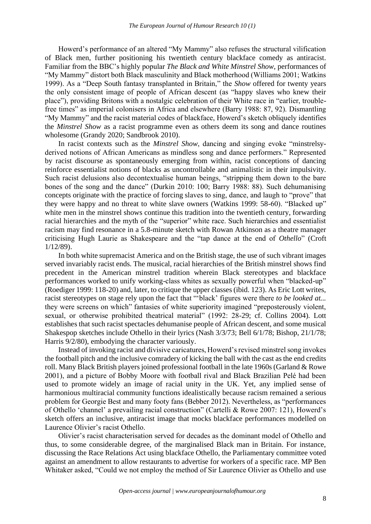Howerd's performance of an altered "My Mammy" also refuses the structural vilification of Black men, further positioning his twentieth century blackface comedy as antiracist. Familiar from the BBC's highly popular *The Black and White Minstrel Show*, performances of "My Mammy" distort both Black masculinity and Black motherhood (Williams 2001; Watkins 1999). As a "Deep South fantasy transplanted in Britain," the *Show* offered for twenty years the only consistent image of people of African descent (as "happy slaves who knew their place"), providing Britons with a nostalgic celebration of their White race in "earlier, troublefree times" as imperial colonisers in Africa and elsewhere (Barry 1988: 87, 92). Dismantling "My Mammy" and the racist material codes of blackface, Howerd's sketch obliquely identifies the *Minstrel Show* as a racist programme even as others deem its song and dance routines wholesome (Grandy 2020; Sandbrook 2010).

In racist contexts such as the *Minstrel Show*, dancing and singing evoke "minstrelsyderived notions of African Americans as mindless song and dance performers." Represented by racist discourse as spontaneously emerging from within, racist conceptions of dancing reinforce essentialist notions of blacks as uncontrollable and animalistic in their impulsivity. Such racist delusions also decontextualise human beings, "stripping them down to the bare bones of the song and the dance" (Durkin 2010: 100; Barry 1988: 88). Such dehumanising concepts originate with the practice of forcing slaves to sing, dance, and laugh to "prove" that they were happy and no threat to white slave owners (Watkins 1999: 58-60). "Blacked up" white men in the minstrel shows continue this tradition into the twentieth century, forwarding racial hierarchies and the myth of the "superior" white race. Such hierarchies and essentialist racism may find resonance in a 5.8-minute sketch with Rowan Atkinson as a theatre manager criticising Hugh Laurie as Shakespeare and the "tap dance at the end of *Othello*" (Croft 1/12/89).

In both white supremacist America and on the British stage, the use of such vibrant images served invariably racist ends. The musical, racial hierarchies of the British minstrel shows find precedent in the American minstrel tradition wherein Black stereotypes and blackface performances worked to unify working-class whites as sexually powerful when "blacked-up" (Roediger 1999: 118-20) and, later, to critique the upper classes (ibid. 123). As Eric Lott writes, racist stereotypes on stage rely upon the fact that "'black' figures were there *to be looked at...*  they were screens on which" fantasies of white superiority imagined "preposterously violent, sexual, or otherwise prohibited theatrical material" (1992: 28-29; cf. Collins 2004). Lott establishes that such racist spectacles dehumanise people of African descent, and some musical Shakespop sketches include Othello in their lyrics (Nash 3/3/73; Bell 6/1/78; Bishop, 21/1/78; Harris 9/2/80), embodying the character variously.

Instead of invoking racist and divisive caricatures, Howerd's revised minstrel song invokes the football pitch and the inclusive comradery of kicking the ball with the cast as the end credits roll. Many Black British players joined professional football in the late 1960s (Garland & Rowe 2001), and a picture of Bobby Moore with football rival and Black Brazilian Pelé had been used to promote widely an image of racial unity in the UK. Yet, any implied sense of harmonious multiracial community functions idealistically because racism remained a serious problem for Georgie Best and many footy fans (Bebber 2012). Nevertheless, as "performances of Othello 'channel' a prevailing racial construction" (Cartelli & Rowe 2007: 121), Howerd's sketch offers an inclusive, antiracist image that mocks blackface performances modelled on Laurence Olivier's racist Othello.

Olivier's racist characterisation served for decades as the dominant model of Othello and thus, to some considerable degree, of the marginalised Black man in Britain. For instance, discussing the Race Relations Act using blackface Othello, the Parliamentary committee voted against an amendment to allow restaurants to advertise for workers of a specific race. MP Ben Whitaker asked, "Could we not employ the method of Sir Laurence Olivier as Othello and use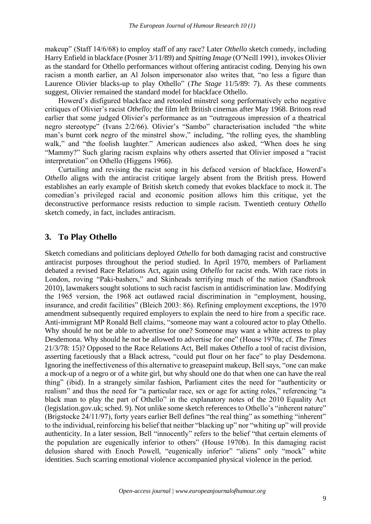makeup" (Staff 14/6/68) to employ staff of any race? Later *Othello* sketch comedy, including Harry Enfield in blackface (Posner 3/11/89) and *Spitting Image* (O'Neill 1991), invokes Olivier as the standard for Othello performances without offering antiracist coding. Denying his own racism a month earlier, an Al Jolson impersonator also writes that, "no less a figure than Laurence Olivier blacks-up to play Othello" (*The Stage* 11/5/89: 7). As these comments suggest, Olivier remained the standard model for blackface Othello.

Howerd's disfigured blackface and retooled minstrel song performatively echo negative critiques of Olivier's racist *Othello;* the film left British cinemas after May 1968. Britons read earlier that some judged Olivier's performance as an "outrageous impression of a theatrical negro stereotype" (Ivans 2/2/66). Olivier's "Sambo" characterisation included "the white man's burnt cork negro of the minstrel show," including, "the rolling eyes, the shambling walk," and "the foolish laughter." American audiences also asked, "When does he sing "Mammy?" Such glaring racism explains why others asserted that Olivier imposed a "racist interpretation" on Othello (Higgens 1966).

Curtailing and revising the racist song in his defaced version of blackface, Howerd's *Othello* aligns with the antiracist critique largely absent from the British press. Howerd establishes an early example of British sketch comedy that evokes blackface to mock it. The comedian's privileged racial and economic position allows him this critique, yet the deconstructive performance resists reduction to simple racism. Twentieth century *Othello* sketch comedy, in fact, includes antiracism.

## **3. To Play Othello**

Sketch comedians and politicians deployed *Othello* for both damaging racist and constructive antiracist purposes throughout the period studied. In April 1970, members of Parliament debated a revised Race Relations Act, again using *Othello* for racist ends. With race riots in London, roving "Paki-bashers," and Skinheads terrifying much of the nation (Sandbrook 2010), lawmakers sought solutions to such racist fascism in antidiscrimination law. Modifying the 1965 version, the 1968 act outlawed racial discrimination in "employment, housing, insurance, and credit facilities" (Bleich 2003: 86). Refining employment exceptions, the 1970 amendment subsequently required employers to explain the need to hire from a specific race. Anti-immigrant MP Ronald Bell claims, "someone may want a coloured actor to play Othello. Why should he not be able to advertise for one? Someone may want a white actress to play Desdemona. Why should he not be allowed to advertise for one" (House 1970a; cf. *The Times* 21/3/78: 15)? Opposed to the Race Relations Act, Bell makes *Othello* a tool of racist division, asserting facetiously that a Black actress, "could put flour on her face" to play Desdemona. Ignoring the ineffectiveness of this alternative to greasepaint makeup, Bell says, "one can make a mock-up of a negro or of a white girl, but why should one do that when one can have the real thing" (ibid). In a strangely similar fashion, Parliament cites the need for "authenticity or realism" and thus the need for "a particular race, sex or age for acting roles," referencing "a black man to play the part of Othello" in the explanatory notes of the 2010 Equality Act (legislation.gov.uk; sched. 9). Not unlike some sketch references to Othello's "inherent nature" (Brigstocke 24/11/97), forty years earlier Bell defines "the real thing" as something "inherent" to the individual, reinforcing his belief that neither "blacking up" nor "whiting up" will provide authenticity. In a later session, Bell "innocently" refers to the belief "that certain elements of the population are eugenically inferior to others" (House 1970b). In this damaging racist delusion shared with Enoch Powell, "eugenically inferior" "aliens" only "mock" white identities. Such scarring emotional violence accompanied physical violence in the period.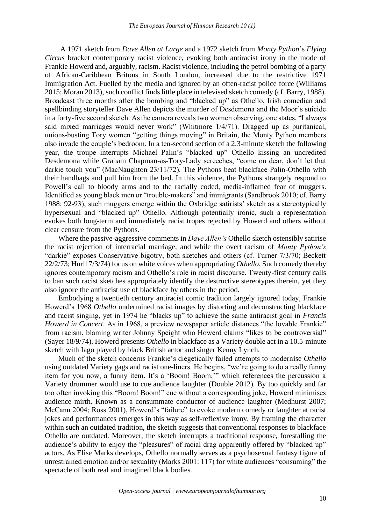A 1971 sketch from *Dave Allen at Large* and a 1972 sketch from *Monty Python*'s *Flying Circus* bracket contemporary racist violence, evoking both antiracist irony in the mode of Frankie Howerd and, arguably, racism. Racist violence, including the petrol bombing of a party of African-Caribbean Britons in South London, increased due to the restrictive 1971 Immigration Act. Fuelled by the media and ignored by an often-racist police force (Williams 2015; Moran 2013), such conflict finds little place in televised sketch comedy (cf. Barry, 1988). Broadcast three months after the bombing and "blacked up" as Othello, Irish comedian and spellbinding storyteller Dave Allen depicts the murder of Desdemona and the Moor's suicide in a forty-five second sketch. As the camera reveals two women observing, one states, "I always said mixed marriages would never work" (Whitmore 1/4/71). Dragged up as puritanical, unions-busting Tory women "getting things moving" in Britain, the Monty Python members also invade the couple's bedroom. In a ten-second section of a 2.3-minute sketch the following year, the troupe interrupts Michael Palin's "blacked up" Othello kissing an uncredited Desdemona while Graham Chapman-as-Tory-Lady screeches, "come on dear, don't let that darkie touch you" (MacNaughton 23/11/72). The Pythons beat blackface Palin-Othello with their handbags and pull him from the bed. In this violence, the Pythons strangely respond to Powell's call to bloody arms and to the racially coded, media-inflamed fear of muggers. Identified as young black men or "trouble-makers" and immigrants (Sandbrook 2010; cf. Barry 1988: 92-93), such muggers emerge within the Oxbridge satirists' sketch as a stereotypically hypersexual and "blacked up" Othello. Although potentially ironic, such a representation evokes both long-term and immediately racist tropes rejected by Howerd and others without clear censure from the Pythons.

Where the passive-aggressive comments in *Dave Allen's* Othello sketch ostensibly satirise the racist rejection of interracial marriage, and while the overt racism of *Monty Python's* "darkie" exposes Conservative bigotry, both sketches and others (cf. Turner 7/3/70; Beckett 22/2/73; Hurll 7/3/74) focus on white voices when appropriating *Othello.* Such comedy thereby ignores contemporary racism and Othello's role in racist discourse. Twenty-first century calls to ban such racist sketches appropriately identify the destructive stereotypes therein, yet they also ignore the antiracist use of blackface by others in the period.

Embodying a twentieth century antiracist comic tradition largely ignored today, Frankie Howerd's 1968 *Othello* undermined racist images by distorting and deconstructing blackface and racist singing, yet in 1974 he "blacks up" to achieve the same antiracist goal in *Francis Howerd in Concert*. As in 1968, a preview newspaper article distances "the lovable Frankie" from racism, blaming writer Johnny Speight who Howerd claims "likes to be controversial" (Sayer 18/9/74). Howerd presents *Othello* in blackface as a Variety double act in a 10.5-minute sketch with Iago played by black British actor and singer Kenny Lynch.

Much of the sketch concerns Frankie's diegetically failed attempts to modernise *Othello* using outdated Variety gags and racist one-liners. He begins, "we're going to do a really funny item for you now, a funny item. It's a 'Boom! Boom,'" which references the percussion a Variety drummer would use to cue audience laughter (Double 2012). By too quickly and far too often invoking this "Boom! Boom!" cue without a corresponding joke, Howerd minimises audience mirth. Known as a consummate conductor of audience laughter (Medhurst 2007; McCann 2004; Ross 2001), Howerd's "failure" to evoke modern comedy or laughter at racist jokes and performances emerges in this way as self-reflexive irony. By framing the character within such an outdated tradition, the sketch suggests that conventional responses to blackface Othello are outdated. Moreover, the sketch interrupts a traditional response, forestalling the audience's ability to enjoy the "pleasures" of racial drag apparently offered by "blacked up" actors. As Elise Marks develops, Othello normally serves as a psychosexual fantasy figure of unrestrained emotion and/or sexuality (Marks 2001: 117) for white audiences "consuming" the spectacle of both real and imagined black bodies.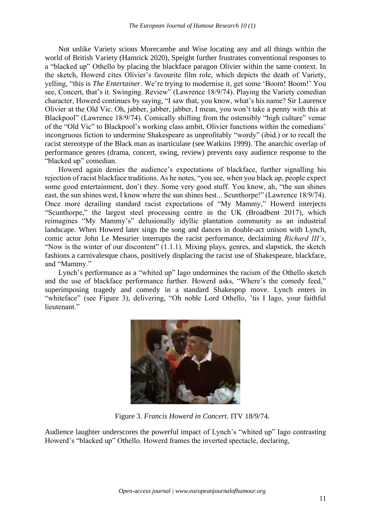Not unlike Variety scions Morecambe and Wise locating any and all things within the world of British Variety (Hamrick 2020), Speight further frustrates conventional responses to a "blacked up" Othello by placing the blackface paragon Olivier within the same context. In the sketch, Howerd cites Olivier's favourite film role, which depicts the death of Variety, yelling, "this is *The Entertainer*. We're trying to modernise it, get some 'Boom! Boom!' You see, Concert, that's it. Swinging. Review" (Lawrence 18/9/74). Playing the Variety comedian character, Howerd continues by saying, "I saw that, you know, what's his name? Sir Laurence Olivier at the Old Vic. Oh, jabber, jabber, jabber, I mean, you won't take a penny with this at Blackpool" (Lawrence 18/9/74). Comically shifting from the ostensibly "high culture" venue of the "Old Vic" to Blackpool's working class ambit, Olivier functions within the comedians' incongruous fiction to undermine Shakespeare as unprofitably "wordy" (ibid.) or to recall the racist stereotype of the Black man as inarticulate (see Watkins 1999). The anarchic overlap of performance genres (drama, concert, swing, review) prevents easy audience response to the "blacked up" comedian.

Howerd again denies the audience's expectations of blackface, further signalling his rejection of racist blackface traditions. As he notes, "you see, when you black up, people expect some good entertainment, don't they. Some very good stuff. You know, ah, "the sun shines east, the sun shines west, I know where the sun shines best... Scunthorpe!" (Lawrence 18/9/74). Once more derailing standard racist expectations of "My Mammy," Howerd interjects "Scunthorpe," the largest steel processing centre in the UK (Broadbent 2017), which reimagines "My Mammy's" delusionally idyllic plantation community as an industrial landscape. When Howerd later sings the song and dances in double-act unison with Lynch, comic actor John Le Mesurier interrupts the racist performance, declaiming *Richard III's*, "Now is the winter of our discontent" (1.1.1). Mixing plays, genres, and slapstick, the sketch fashions a carnivalesque chaos, positively displacing the racist use of Shakespeare, blackface, and "Mammy."

Lynch's performance as a "whited up" Iago undermines the racism of the Othello sketch and the use of blackface performance further. Howerd asks, "Where's the comedy feed," superimposing tragedy and comedy in a standard Shakespop move. Lynch enters in "whiteface" (see Figure 3), delivering, "Oh noble Lord Othello, 'tis I Iago, your faithful lieutenant."



Figure 3. *Francis Howerd in Concert*. ITV 18/9/74.

Audience laughter underscores the powerful impact of Lynch's "whited up" Iago contrasting Howerd's "blacked up" Othello. Howerd frames the inverted spectacle, declaring,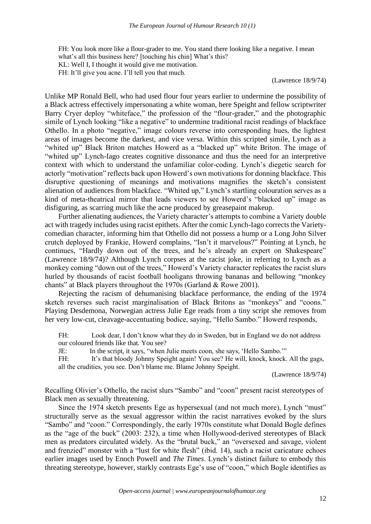FH: You look more like a flour-grader to me. You stand there looking like a negative. I mean what's all this business here? [touching his chin] What's this? KL: Well I, I thought it would give me motivation. FH: It'll give you acne. I'll tell you that much.

(Lawrence 18/9/74)

Unlike MP Ronald Bell, who had used flour four years earlier to undermine the possibility of a Black actress effectively impersonating a white woman, here Speight and fellow scriptwriter Barry Cryer deploy "whiteface," the profession of the "flour-grader," and the photographic simile of Lynch looking "like a negative" to undermine traditional racist readings of blackface Othello. In a photo "negative," image colours reverse into corresponding hues, the lightest areas of images become the darkest, and vice versa. Within this scripted simile, Lynch as a "whited up" Black Briton matches Howerd as a "blacked up" white Briton. The image of "whited up" Lynch-Iago creates cognitive dissonance and thus the need for an interpretive context with which to understand the unfamiliar color-coding. Lynch's diegetic search for actorly "motivation" reflects back upon Howerd's own motivations for donning blackface. This disruptive questioning of meanings and motivations magnifies the sketch's consistent alienation of audiences from blackface. "Whited up," Lynch's startling colouration serves as a kind of meta-theatrical mirror that leads viewers to see Howerd's "blacked up" image as disfiguring, as scarring much like the acne produced by greasepaint makeup.

Further alienating audiences, the Variety character's attempts to combine a Variety double act with tragedy includes using racist epithets. After the comic Lynch-Iago corrects the Varietycomedian character, informing him that Othello did not possess a hump or a Long John Silver crutch deployed by Frankie, Howerd complains, "Isn't it marvelous?" Pointing at Lynch, he continues, "Hardly down out of the trees, and he's already an expert on Shakespeare" (Lawrence 18/9/74)? Although Lynch corpses at the racist joke, in referring to Lynch as a monkey coming "down out of the trees," Howerd's Variety character replicates the racist slurs hurled by thousands of racist football hooligans throwing bananas and bellowing "monkey chants" at Black players throughout the 1970s (Garland & Rowe 2001).

Rejecting the racism of dehumanising blackface performance, the ending of the 1974 sketch reverses such racist marginalisation of Black Britons as "monkeys" and "coons." Playing Desdemona, Norwegian actress Julie Ege reads from a tiny script she removes from her very low-cut, cleavage-accentuating bodice, saying, "Hello Sambo." Howerd responds,

FH: Look dear, I don't know what they do in Sweden, but in England we do not address our coloured friends like that. You see?

JE: In the script, it says, "when Julie meets coon, she says, 'Hello Sambo.'"

FH: It's that bloody Johnny Speight again! You see? He will, knock, knock. All the gags, all the crudities, you see. Don't blame me. Blame Johnny Speight.

(Lawrence 18/9/74)

Recalling Olivier's Othello, the racist slurs "Sambo" and "coon" present racist stereotypes of Black men as sexually threatening.

Since the 1974 sketch presents Ege as hypersexual (and not much more), Lynch "must" structurally serve as the sexual aggressor within the racist narratives evoked by the slurs "Sambo" and "coon." Correspondingly, the early 1970s constitute what Donald Bogle defines as the "age of the buck" (2003: 232), a time when Hollywood-derived stereotypes of Black men as predators circulated widely. As the "brutal buck," an "oversexed and savage, violent and frenzied" monster with a "lust for white flesh" (ibid. 14), such a racist caricature echoes earlier images used by Enoch Powell and *The Times*. Lynch's distinct failure to embody this threating stereotype, however, starkly contrasts Ege's use of "coon," which Bogle identifies as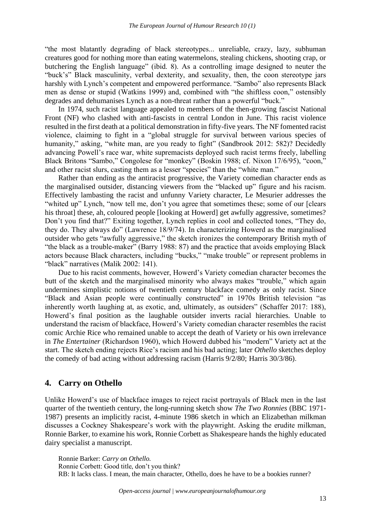"the most blatantly degrading of black stereotypes... unreliable, crazy, lazy, subhuman creatures good for nothing more than eating watermelons, stealing chickens, shooting crap, or butchering the English language" (ibid. 8). As a controlling image designed to neuter the "buck's" Black masculinity, verbal dexterity, and sexuality, then, the coon stereotype jars harshly with Lynch's competent and empowered performance. "Sambo" also represents Black men as dense or stupid (Watkins 1999) and, combined with "the shiftless coon," ostensibly degrades and dehumanises Lynch as a non-threat rather than a powerful "buck."

In 1974, such racist language appealed to members of the then-growing fascist National Front (NF) who clashed with anti-fascists in central London in June. This racist violence resulted in the first death at a political demonstration in fifty-five years. The NF fomented racist violence, claiming to fight in a "global struggle for survival between various species of humanity," asking, "white man, are you ready to fight" (Sandbrook 2012: 582)? Decidedly advancing Powell's race war, white supremacists deployed such racist terms freely, labelling Black Britons "Sambo," Congolese for "monkey" (Boskin 1988; cf. Nixon 17/6/95), "coon," and other racist slurs, casting them as a lesser "species" than the "white man."

Rather than ending as the antiracist progressive, the Variety comedian character ends as the marginalised outsider, distancing viewers from the "blacked up" figure and his racism. Effectively lambasting the racist and unfunny Variety character, Le Mesurier addresses the "whited up" Lynch, "now tell me, don't you agree that sometimes these; some of our [clears his throat] these, ah, coloured people [looking at Howerd] get awfully aggressive, sometimes? Don't you find that?" Exiting together, Lynch replies in cool and collected tones, "They do, they do. They always do" (Lawrence 18/9/74). In characterizing Howerd as the marginalised outsider who gets "awfully aggressive," the sketch ironizes the contemporary British myth of "the black as a trouble-maker" (Barry 1988: 87) and the practice that avoids employing Black actors because Black characters, including "bucks," "make trouble" or represent problems in "black" narratives (Malik 2002: 141).

Due to his racist comments, however, Howerd's Variety comedian character becomes the butt of the sketch and the marginalised minority who always makes "trouble," which again undermines simplistic notions of twentieth century blackface comedy as only racist. Since "Black and Asian people were continually constructed" in 1970s British television "as inherently worth laughing at, as exotic, and, ultimately, as outsiders" (Schaffer 2017: 188), Howerd's final position as the laughable outsider inverts racial hierarchies. Unable to understand the racism of blackface, Howerd's Variety comedian character resembles the racist comic Archie Rice who remained unable to accept the death of Variety or his own irrelevance in *The Entertainer* (Richardson 1960), which Howerd dubbed his "modern" Variety act at the start. The sketch ending rejects Rice's racism and his bad acting; later *Othello* sketches deploy the comedy of bad acting without addressing racism (Harris 9/2/80; Harris 30/3/86).

### **4. Carry on Othello**

Unlike Howerd's use of blackface images to reject racist portrayals of Black men in the last quarter of the twentieth century, the long-running sketch show *The Two Ronnies* (BBC 1971- 1987) presents an implicitly racist, 4-minute 1986 sketch in which an Elizabethan milkman discusses a Cockney Shakespeare's work with the playwright. Asking the erudite milkman, Ronnie Barker, to examine his work, Ronnie Corbett as Shakespeare hands the highly educated dairy specialist a manuscript.

Ronnie Barker: *Carry on Othello.* Ronnie Corbett: Good title, don't you think? RB: It lacks class. I mean, the main character, Othello, does he have to be a bookies runner?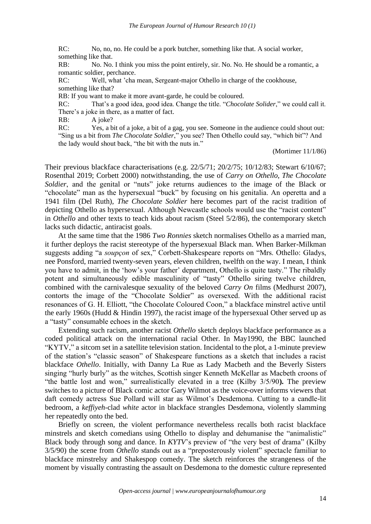RC: No, no, no. He could be a pork butcher, something like that. A social worker, something like that.

RB: No. No. I think you miss the point entirely, sir. No. No. He should be a romantic, a romantic soldier, perchance.

RC: Well, what 'cha mean, Sergeant-major Othello in charge of the cookhouse, something like that?

RB: If you want to make it more avant-garde, he could be coloured.

RC: That's a good idea, good idea. Change the title. "*Chocolate Solider*," we could call it. There's a joke in there, as a matter of fact.

RB: A joke?

RC: Yes, a bit of a joke, a bit of a gag, you see. Someone in the audience could shout out: "Sing us a bit from *The Chocolate Soldier*," you see? Then Othello could say, "which bit"? And the lady would shout back, "the bit with the nuts in."

(Mortimer 11/1/86)

Their previous blackface characterisations (e.g. 22/5/71; 20/2/75; 10/12/83; Stewart 6/10/67; Rosenthal 2019; Corbett 2000) notwithstanding, the use of *Carry on Othello*, *The Chocolate Soldier*, and the genital or "nuts" joke returns audiences to the image of the Black or "chocolate" man as the hypersexual "buck" by focusing on his genitalia. An operetta and a 1941 film (Del Ruth), *The Chocolate Soldier* here becomes part of the racist tradition of depicting Othello as hypersexual. Although Newcastle schools would use the "racist content" in *Othello* and other texts to teach kids about racism (Steel 5/2/86), the contemporary sketch lacks such didactic, antiracist goals.

At the same time that the 1986 *Two Ronnies* sketch normalises Othello as a married man, it further deploys the racist stereotype of the hypersexual Black man. When Barker-Milkman suggests adding "a *soupçon* of sex," Corbett-Shakespeare reports on "Mrs. Othello: Gladys, nee Ponsford, married twenty-seven years, eleven children, twelfth on the way. I mean, I think you have to admit, in the 'how's your father' department, Othello is quite tasty." The ribaldly potent and simultaneously edible masculinity of "tasty" Othello siring twelve children, combined with the carnivalesque sexuality of the beloved *Carry On* films (Medhurst 2007), contorts the image of the "Chocolate Soldier" as oversexed. With the additional racist resonances of G. H. Elliott, "the Chocolate Coloured Coon," a blackface minstrel active until the early 1960s (Hudd & Hindin 1997), the racist image of the hypersexual Other served up as a "tasty" consumable echoes in the sketch.

Extending such racism, another racist *Othello* sketch deploys blackface performance as a coded political attack on the international racial Other. In May1990, the BBC launched "KYTV," a sitcom set in a satellite television station. Incidental to the plot, a 1-minute preview of the station's "classic season" of Shakespeare functions as a sketch that includes a racist blackface *Othello*. Initially, with Danny La Rue as Lady Macbeth and the Beverly Sisters singing "hurly burly" as the witches, Scottish singer Kenneth McKellar as Macbeth croons of "the battle lost and won," surrealistically elevated in a tree (Kilby 3/5/90**).** The preview switches to a picture of Black comic actor Gary Wilmot as the voice-over informs viewers that daft comedy actress Sue Pollard will star as Wilmot's Desdemona. Cutting to a candle-lit bedroom, a *keffiyeh*-clad *white* actor in blackface strangles Desdemona, violently slamming her repeatedly onto the bed.

Briefly on screen, the violent performance nevertheless recalls both racist blackface minstrels and sketch comedians using Othello to display and dehumanise the "animalistic" Black body through song and dance. In *KYTV*'s preview of "the very best of drama" (Kilby 3/5/90) the scene from *Othello* stands out as a "preposterously violent" spectacle familiar to blackface minstrelsy and Shakespop comedy. The sketch reinforces the strangeness of the moment by visually contrasting the assault on Desdemona to the domestic culture represented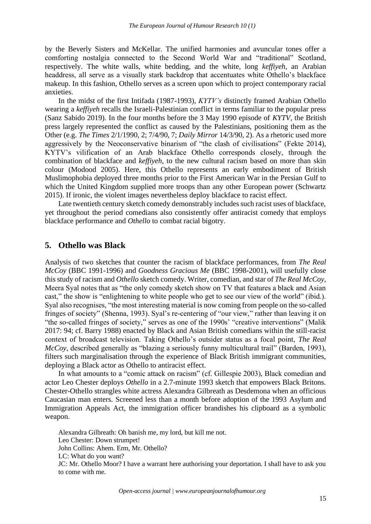by the Beverly Sisters and McKellar. The unified harmonies and avuncular tones offer a comforting nostalgia connected to the Second World War and "traditional" Scotland, respectively. The white walls, white bedding, and the white, long *keffiyeh*, an Arabian headdress, all serve as a visually stark backdrop that accentuates white Othello's blackface makeup. In this fashion, Othello serves as a screen upon which to project contemporary racial anxieties.

In the midst of the first Intifada (1987-1993), *KYTV's* distinctly framed Arabian Othello wearing a *keffiyeh* recalls the Israeli-Palestinian conflict in terms familiar to the popular press (Sanz Sabido 2019). In the four months before the 3 May 1990 episode of *KYTV*, the British press largely represented the conflict as caused by the Palestinians, positioning them as the Other (e.g. *The Times* 2/1/1990, 2; 7/4/90, 7; *Daily Mirror* 14/3/90, 2). As a rhetoric used more aggressively by the Neoconservative binarism of "the clash of civilisations" (Fekte 2014), KYTV's vilification of an Arab blackface Othello corresponds closely, through the combination of blackface and *keffiyeh*, to the new cultural racism based on more than skin colour (Modood 2005). Here, this Othello represents an early embodiment of British Muslimophobia deployed three months prior to the First American War in the Persian Gulf to which the United Kingdom supplied more troops than any other European power (Schwartz 2015). If ironic, the violent images nevertheless deploy blackface to racist effect.

Late twentieth century sketch comedy demonstrably includes such racist uses of blackface, yet throughout the period comedians also consistently offer antiracist comedy that employs blackface performance and *Othello* to combat racial bigotry.

#### **5. Othello was Black**

Analysis of two sketches that counter the racism of blackface performances, from *The Real McCoy* (BBC 1991-1996) and *Goodness Gracious Me* (BBC 1998-2001), will usefully close this study of racism and *Othello* sketch comedy. Writer, comedian, and star of *The Real McCoy*, Meera Syal notes that as "the only comedy sketch show on TV that features a black and Asian cast," the show is "enlightening to white people who get to see our view of the world" (ibid.). Syal also recognises, "the most interesting material is now coming from people on the so-called fringes of society" (Shenna, 1993). Syal's re-centering of "our view," rather than leaving it on "the so-called fringes of society," serves as one of the 1990s' "creative interventions" (Malik 2017: 94; cf. Barry 1988) enacted by Black and Asian British comedians within the still-racist context of broadcast television. Taking Othello's outsider status as a focal point, *The Real McCoy*, described generally as "blazing a seriously funny multicultural trail" (Barden, 1993), filters such marginalisation through the experience of Black British immigrant communities, deploying a Black actor as Othello to antiracist effect.

In what amounts to a "comic attack on racism" (cf. Gillespie 2003), Black comedian and actor Leo Chester deploys *Othello* in a 2.7-minute 1993 sketch that empowers Black Britons. Chester-Othello strangles white actress Alexandra Gilbreath as Desdemona when an officious Caucasian man enters. Screened less than a month before adoption of the 1993 Asylum and Immigration Appeals Act, the immigration officer brandishes his clipboard as a symbolic weapon.

Alexandra Gilbreath: Oh banish me, my lord, but kill me not. Leo Chester: Down strumpet! John Collins: Ahem. Erm, Mr. Othello? LC: What do you want? JC: Mr. Othello Moor? I have a warrant here authorising your deportation. I shall have to ask you to come with me.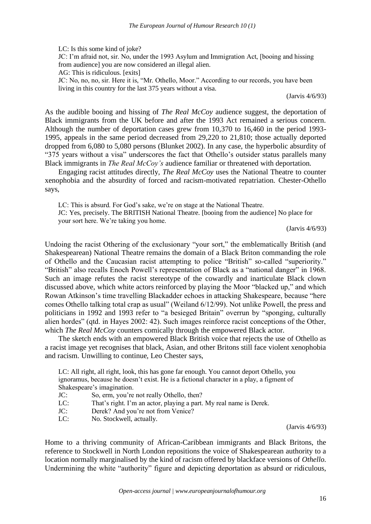LC: Is this some kind of joke?

JC: I'm afraid not, sir. No, under the 1993 Asylum and Immigration Act, [booing and hissing from audience] you are now considered an illegal alien.

AG: This is ridiculous. [exits]

JC: No, no, no, sir. Here it is, "Mr. Othello, Moor." According to our records, you have been living in this country for the last 375 years without a visa.

(Jarvis 4/6/93)

As the audible booing and hissing of *The Real McCoy* audience suggest, the deportation of Black immigrants from the UK before and after the 1993 Act remained a serious concern. Although the number of deportation cases grew from 10,370 to 16,460 in the period 1993- 1995, appeals in the same period decreased from 29,220 to 21,810; those actually deported dropped from 6,080 to 5,080 persons (Blunket 2002). In any case, the hyperbolic absurdity of "375 years without a visa" underscores the fact that Othello's outsider status parallels many Black immigrants in *The Real McCoy's* audience familiar or threatened with deportation.

Engaging racist attitudes directly, *The Real McCoy* uses the National Theatre to counter xenophobia and the absurdity of forced and racism-motivated repatriation. Chester-Othello says,

LC: This is absurd. For God's sake, we're on stage at the National Theatre.

JC: Yes, precisely. The BRITISH National Theatre. [booing from the audience] No place for your sort here. We're taking you home.

(Jarvis 4/6/93)

Undoing the racist Othering of the exclusionary "your sort," the emblematically British (and Shakespearean) National Theatre remains the domain of a Black Briton commanding the role of Othello and the Caucasian racist attempting to police "British" so-called "superiority." "British" also recalls Enoch Powell's representation of Black as a "national danger" in 1968. Such an image refutes the racist stereotype of the cowardly and inarticulate Black clown discussed above, which white actors reinforced by playing the Moor "blacked up," and which Rowan Atkinson's time travelling Blackadder echoes in attacking Shakespeare, because "here comes Othello talking total crap as usual" (Weiland 6/12/99). Not unlike Powell, the press and politicians in 1992 and 1993 refer to "a besieged Britain" overrun by "sponging, culturally alien hordes" (qtd. in Hayes 2002: 42). Such images reinforce racist conceptions of the Other, which *The Real McCoy* counters comically through the empowered Black actor.

The sketch ends with an empowered Black British voice that rejects the use of Othello as a racist image yet recognises that black, Asian, and other Britons still face violent xenophobia and racism. Unwilling to continue, Leo Chester says,

LC: All right, all right, look, this has gone far enough. You cannot deport Othello, you ignoramus, because he doesn't exist. He is a fictional character in a play, a figment of Shakespeare's imagination.

- JC: So, erm, you're not really Othello, then?
- LC: That's right. I'm an actor, playing a part. My real name is Derek.
- JC: Derek? And you're not from Venice?
- LC: No. Stockwell, actually.

(Jarvis 4/6/93)

Home to a thriving community of African-Caribbean immigrants and Black Britons, the reference to Stockwell in North London repositions the voice of Shakespearean authority to a location normally marginalised by the kind of racism offered by blackface versions of *Othello*. Undermining the white "authority" figure and depicting deportation as absurd or ridiculous,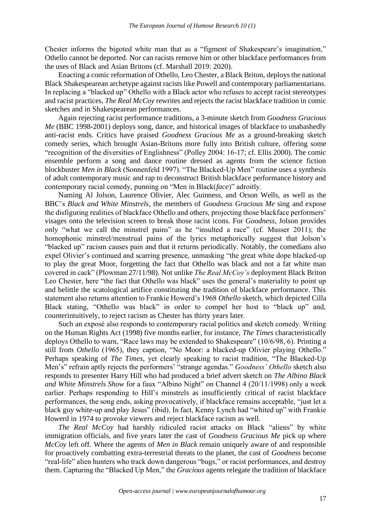Chester informs the bigoted white man that as a "figment of Shakespeare's imagination," Othello cannot be deported. Nor can racists remove him or other blackface performances from the uses of Black and Asian Britons (cf. Marshall 2019: 2020).

Enacting a comic reformation of Othello, Leo Chester, a Black Briton, deploys the national Black Shakespearean archetype against racists like Powell and contemporary parliamentarians. In replacing a "blacked up" Othello with a Black actor who refuses to accept racist stereotypes and racist practices, *The Real McCoy* rewrites and rejects the racist blackface tradition in comic sketches and in Shakespearean performances.

Again rejecting racist performance traditions, a 3-minute sketch from *Goodness Gracious Me* (BBC 1998-2001) deploys song, dance, and historical images of blackface to unabashedly anti-racist ends. Critics have praised *Goodness Gracious Me* as a ground-breaking sketch comedy series, which brought Asian-Britons more fully into British culture, offering some "recognition of the diversities of Englishness" (Polley 2004: 16-17; cf. Ellis 2000). The comic ensemble perform a song and dance routine dressed as agents from the science fiction blockbuster *Men in Black* (Sonnenfeld 1997). "The Blacked-Up Men" routine uses a synthesis of adult contemporary music and rap to deconstruct British blackface performance history and contemporary racial comedy, punning on "Men in Black(*face*)" adroitly.

Naming Al Jolson, Laurence Olivier, Alec Guinness, and Orson Wells, as well as the BBC's *Black and White Minstrels*, the members of *Goodness Gracious Me* sing and expose the disfiguring realities of blackface Othello and others, projecting those blackface performers' visages onto the television screen to break those racist icons. For *Goodness*, Jolson provides only "what we call the minstrel pains" as he "insulted a race" (cf. Musser 2011); the homophonic minstrel/menstrual pains of the lyrics metaphorically suggest that Jolson's "blacked up" racism causes pain and that it returns periodically. Notably, the comedians also expel Olivier's continued and scarring presence, unmasking "the great white dope blacked-up to play the great Moor, forgetting the fact that Othello was black and not a fat white man covered in cack" (Plowman 27/11/98). Not unlike *The Real McCoy's* deployment Black Briton Leo Chester, here "the fact that Othello was black" uses the general's materiality to point up and belittle the scatological artifice constituting the tradition of blackface performance. This statement also returns attention to Frankie Howerd's 1968 *Othello* sketch, which depicted Cilla Black stating, "Othello was black" in order to compel her host to "black up" and, counterintuitively, to reject racism as Chester has thirty years later.

Such an exposé also responds to contemporary racial politics and sketch comedy. Writing on the Human Rights Act (1998) five months earlier, for instance, *The Times* characteristically deploys Othello to warn, "Race laws may be extended to Shakespeare" (10/6/98, 6). Printing a still from *Othello* (1965), they caption, "No Moor: a blacked-up Olivier playing Othello." Perhaps speaking of *The Times*, yet clearly speaking to racist tradition, "The Blacked-Up Men's" refrain aptly rejects the performers' "strange agendas." *Goodness' Othello* sketch also responds to presenter Harry Hill who had produced a brief advert sketch on *The Albino Black and White Minstrels Show* for a faux "Albino Night" on Channel 4 (20/11/1998) only a week earlier. Perhaps responding to Hill's minstrels as insufficiently critical of racist blackface performances, the song ends, asking provocatively, if blackface remains acceptable, "just let a black guy white-up and play Jesus" (ibid). In fact, Kenny Lynch had "whited up" with Frankie Howerd in 1974 to provoke viewers and reject blackface racism as well.

*The Real McCoy* had harshly ridiculed racist attacks on Black "aliens" by white immigration officials, and five years later the cast of *Goodness Gracious Me* pick up where *McCoy* left off. Where the agents of *Men in Black* remain uniquely aware of and responsible for proactively combatting extra-terrestrial threats to the planet, the cast of *Goodness* become "real-life" alien hunters who track down dangerous "bugs," or racist performances, and destroy them. Capturing the "Blacked Up Men," the *Gracious* agents relegate the tradition of blackface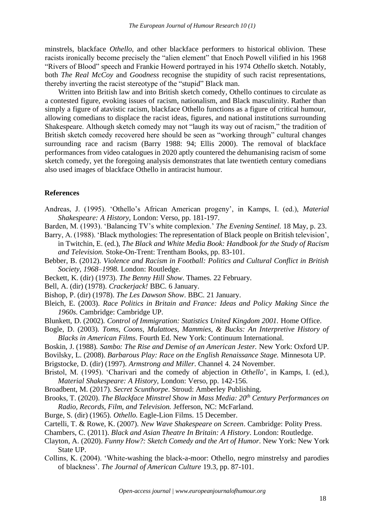minstrels, blackface *Othello*, and other blackface performers to historical oblivion. These racists ironically become precisely the "alien element" that Enoch Powell vilified in his 1968 "Rivers of Blood" speech and Frankie Howerd portrayed in his 1974 *Othello* sketch. Notably, both *The Real McCoy* and *Goodness* recognise the stupidity of such racist representations, thereby inverting the racist stereotype of the "stupid" Black man.

Written into British law and into British sketch comedy, Othello continues to circulate as a contested figure, evoking issues of racism, nationalism, and Black masculinity. Rather than simply a figure of atavistic racism, blackface Othello functions as a figure of critical humour, allowing comedians to displace the racist ideas, figures, and national institutions surrounding Shakespeare. Although sketch comedy may not "laugh its way out of racism," the tradition of British sketch comedy recovered here should be seen as "working through" cultural changes surrounding race and racism (Barry 1988: 94; Ellis 2000). The removal of blackface performances from video catalogues in 2020 aptly countered the dehumanising racism of some sketch comedy, yet the foregoing analysis demonstrates that late twentieth century comedians also used images of blackface Othello in antiracist humour.

#### **References**

Andreas, J. (1995). 'Othello's African American progeny', in Kamps, I. (ed.), *Material Shakespeare: A History,* London: Verso, pp. 181-197.

Barden, M. (1993). 'Balancing TV's white complexion.' *The Evening Sentinel.* 18 May, p. 23.

Barry, A. (1988). 'Black mythologies: The representation of Black people on British television', in Twitchin, E. (ed.), *The Black and White Media Book: Handbook for the Study of Racism and Television.* Stoke-On-Trent: Trentham Books, pp. 83-101.

- Bebber, B. (2012). *Violence and Racism in Football: Politics and Cultural Conflict in British Society, 1968–1998.* London: Routledge.
- Beckett, K. (dir) (1973). *The Benny Hill Show*. Thames. 22 February.
- Bell, A. (dir) (1978). *Crackerjack!* BBC. 6 January.
- Bishop, P. (dir) (1978). *The Les Dawson Show*. BBC. 21 January.
- Bleich, E. (2003). *Race Politics in Britain and France: Ideas and Policy Making Since the 1960s*. Cambridge: Cambridge UP.
- Blunkett, D. (2002). *Control of Immigration: Statistics United Kingdom 2001*. Home Office.
- Bogle, D. (2003). *Toms, Coons, Mulattoes*, *Mammies, & Bucks: An Interpretive History of Blacks in American Films*. Fourth Ed. New York: Continuum International.
- Boskin, J. (1988). *Sambo: The Rise and Demise of an American Jester.* New York: Oxford UP.
- Bovilsky, L. (2008). *Barbarous Play: Race on the English Renaissance Stage.* Minnesota UP.
- Brigstocke, D. (dir) (1997). *Armstrong and Miller*. Channel 4. 24 November.
- Bristol, M. (1995). 'Charivari and the comedy of abjection in *Othello*', in Kamps, I. (ed.), *Material Shakespeare: A History,* London: Verso, pp. 142-156.
- Broadbent, M. (2017). *Secret Scunthorpe*. Stroud: Amberley Publishing.
- Brooks, T. (2020). *The Blackface Minstrel Show in Mass Media: 20th Century Performances on Radio, Records, Film, and Television.* Jefferson, NC: McFarland.
- Burge, S. (dir) (1965). *Othello*. Eagle-Lion Films. 15 December.
- Cartelli, T. & Rowe, K. (2007). *New Wave Shakespeare on Screen*. Cambridge: Polity Press.
- Chambers, C. (2011). *Black and Asian Theatre In Britain: A History*. London: Routledge.
- Clayton, A. (2020). *Funny How?: Sketch Comedy and the Art of Humor*. New York: New York State UP.
- Collins, K. (2004). 'White-washing the black-a-moor: Othello, negro minstrelsy and parodies of blackness'. *The Journal of American Culture* 19.3, pp. 87-101.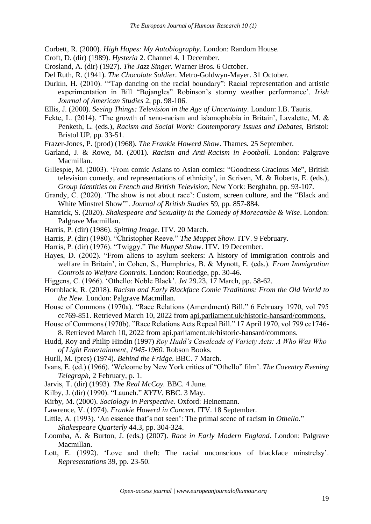Corbett, R. (2000). *High Hopes: My Autobiography*. London: Random House.

- Croft, D. (dir) (1989). *Hysteria* 2. Channel 4. 1 December.
- Crosland, A. (dir) (1927). *The Jazz Singer*. Warner Bros. 6 October.
- Del Ruth, R. (1941). *The Chocolate Soldier.* Metro-Goldwyn-Mayer. 31 October.
- Durkin, H. (2010). '"Tap dancing on the racial boundary": Racial representation and artistic experimentation in Bill "Bojangles" Robinson's stormy weather performance'. *Irish Journal of American Studies* 2, pp. 98-106.
- Ellis, J. (2000). *Seeing Things: Television in the Age of Uncertainty*. London: I.B. Tauris.
- Fekte, L. (2014). 'The growth of xeno-racism and islamophobia in Britain', Lavalette, M. & Penketh, L. (eds.), *Racism and Social Work: Contemporary Issues and Debates,* Bristol: Bristol UP, pp. 33-51.
- Frazer-Jones, P. (prod) (1968). *The Frankie Howerd Show*. Thames. 25 September.
- Garland, J. & Rowe, M. (2001). *Racism and Anti-Racism in Football.* London: Palgrave Macmillan.
- Gillespie, M. (2003). 'From comic Asians to Asian comics: "Goodness Gracious Me", British television comedy, and representations of ethnicity', in Scriven, M. & Roberts, E. (eds.), *Group Identities on French and British Television,* New York: Berghahn, pp. 93-107.
- Grandy, C. (2020). 'The show is not about race': Custom, screen culture, and the "Black and White Minstrel Show"'. *Journal of British Studies* 59, pp. 857-884.
- Hamrick, S. (2020). *Shakespeare and Sexuality in the Comedy of Morecambe & Wise*. London: Palgrave Macmillan.
- Harris, P. (dir) (1986). *Spitting Image.* ITV. 20 March.
- Harris, P. (dir) (1980). "Christopher Reeve." *The Muppet Show*. ITV. 9 February.
- Harris, P. (dir) (1976). "Twiggy." *The Muppet Show*. ITV. 19 December.
- Hayes, D. (2002). "From aliens to asylum seekers: A history of immigration controls and welfare in Britain', in Cohen, S., Humphries, B. & Mynott, E. (eds.). *From Immigration Controls to Welfare Controls.* London: Routledge, pp. 30-46.
- Higgens, C. (1966). 'Othello: Noble Black'. *Jet* 29.23, 17 March, pp. 58-62.
- Hornblack, R. (2018). *Racism and Early Blackface Comic Traditions: From the Old World to the New.* London: Palgrave Macmillan.
- House of Commons (1970a). "Race Relations (Amendment) Bill." 6 February 1970, vol 795 cc769-851. Retrieved March 10, 2022 from api.parliament.uk/historic-hansard/commons.
- House of Commons (1970b). "Race Relations Acts Repeal Bill." 17 April 1970, vol 799 cc1746- 8. Retrieved March 10, 2022 from api.parliament.uk/historic-hansard/commons.
- Hudd, Roy and Philip Hindin (1997) *Roy Hudd's Cavalcade of Variety Acts: A Who Was Who of Light Entertainment, 1945-1960.* Robson Books.
- Hurll, M. (pres) (1974). *Behind the Fridge*. BBC. 7 March.
- Ivans, E. (ed.) (1966). 'Welcome by New York critics of "Othello" film'. *The Coventry Evening Telegraph*, 2 February, p. 1.
- Jarvis, T. (dir) (1993). *The Real McCoy.* BBC. 4 June.
- Kilby, J. (dir) (1990). "Launch." *KYTV*. BBC. 3 May.
- Kirby, M. (2000). *Sociology in Perspective.* Oxford: Heinemann.
- Lawrence, V. (1974). *Frankie Howerd in Concert.* ITV. 18 September.
- Little, A. (1993). 'An essence that's not seen': The primal scene of racism in *Othello*." *Shakespeare Quarterly* 44.3, pp. 304-324.
- Loomba, A. & Burton, J. (eds.) (2007). *Race in Early Modern England*. London: Palgrave Macmillan.
- Lott, E. (1992). 'Love and theft: The racial unconscious of blackface minstrelsy'. *Representations* 39, pp. 23-50.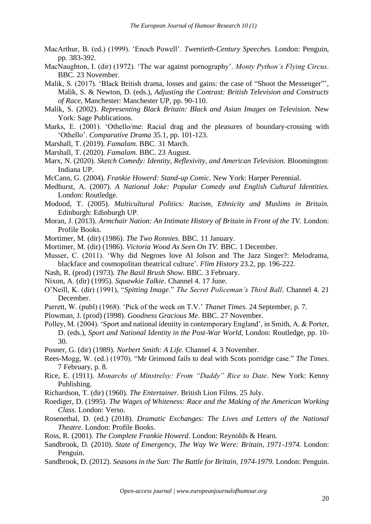- MacArthur, B. (ed.) (1999). 'Enoch Powell'. *Twentieth-Century Speeches.* London: Penguin, pp. 383-392.
- MacNaughton, I. (dir) (1972). 'The war against pornography'. *Monty Python's Flying Circus*. BBC. 23 November.
- Malik, S. (2017). 'Black British drama, losses and gains: the case of "Shoot the Messenger"', Malik, S. & Newton, D. (eds.), *Adjusting the Contrast: British Television and Constructs of Race,* Manchester: Manchester UP, pp. 90-110.
- Malik, S. (2002). *Representing Black Britain: Black and Asian Images on Television.* New York: Sage Publications.
- Marks, E. (2001). 'Othello/me: Racial drag and the pleasures of boundary-crossing with 'Othello'. *Comparative Drama* 35.1, pp. 101-123.
- Marshall, T. (2019). *Famalam.* BBC. 31 March.
- Marshall, T. (2020). *Famalam.* BBC. 23 August.
- Marx, N. (2020). *Sketch Comedy: Identity, Reflexivity, and American Television.* Bloomington: Indiana UP.
- McCann, G. (2004). *Frankie Howerd: Stand-up Comic.* New York: Harper Perennial.
- Medhurst, A. (2007). *A National Joke: Popular Comedy and English Cultural Identities.*  London: Routledge.
- Modood, T. (2005). *Multicultural Politics: Racism, Ethnicity and Muslims in Britain.*  Edinburgh: Edinburgh UP.
- Moran, J. (2013). *Armchair Nation: An Intimate History of Britain in Front of the TV.* London: Profile Books.
- Mortimer, M. (dir) (1986). *The Two Ronnies.* BBC. 11 January.
- Mortimer, M. (dir) (1986). *Victoria Wood As Seen On TV.* BBC. 1 December.
- Musser, C. (2011). 'Why did Negroes love Al Jolson and The Jazz Singer?: Melodrama, blackface and cosmopolitan theatrical culture'. *Flim History* 23.2, pp. 196-222.
- Nash, R. (prod) (1973). *The Basil Brush Show*. BBC. 3 February.
- Nixon, A. (dir) (1995). *Squawkie Talkie*. Channel 4. 17 June.
- O'Neill, K. (dir) (1991), "*Spitting Image*." *The Secret Policeman's Third Ball*. Channel 4. 21 December.
- Parrett, W. (publ) (1968). 'Pick of the week on T.V.' *Thanet Times*. 24 September, p. 7.
- Plowman, J. (prod) (1998). *Goodness Gracious Me*. BBC. 27 November.
- Polley, M. (2004). 'Sport and national identity in contemporary England', in Smith, A. & Porter, D. (eds.), *Sport and National Identity in the Post-War World,* London: Routledge, pp. 10- 30.
- Posner, G. (dir) (1989). *Norbert Smith: A Life.* Channel 4. 3 November.
- Rees-Mogg, W. (ed.) (1970). "Mr Grimond fails to deal with Scots porridge case." *The Times*. 7 February, p. 8.
- Rice, E. (1911). *Monarchs of Minstrelsy: From "Daddy" Rice to Date*. New York: Kenny Publishing.
- Richardson, T. (dir) (1960). *The Entertainer*. British Lion Films. 25 July.
- Roediger, D. (1995). *The Wages of Whiteness: Race and the Making of the American Working Class*. London: Verso.
- Rosenethal, D. (ed.) (2018). *Dramatic Exchanges: The Lives and Letters of the National Theatre.* London: Profile Books.
- Ross, R. (2001). *The Complete Frankie Howerd*. London: Reynolds & Hearn.
- Sandbrook, D. (2010). *State of Emergency, The Way We Were: Britain, 1971-1974.* London: Penguin.
- Sandbrook, D. (2012). *Seasons in the Sun: The Battle for Britain, 1974-1979.* London: Penguin.